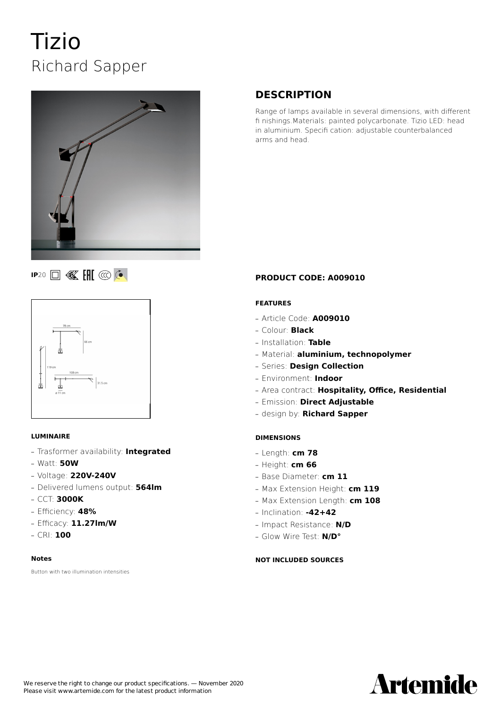# Tizio Richard Sapper



## **DESCRIPTION**

Range of lamps available in several dimensions, with different fi nishings.Materials: painted polycarbonate. Tizio LED: head in aluminium. Specifi cation: adjustable counterbalanced arms and head.

## **IP20 II K III @ C**



#### **LUMINAIRE**

- **—** Trasformer availability: **Integrated**
- **—** Watt: **50W**
- **—** Voltage: **220V-240V**
- **—** Delivered lumens output: **564lm**
- **—** CCT: **3000K**
- **—** Efficiency: **48%**
- **—** Efficacy: **11.27lm/W**
- **—** CRI: **100**

#### **Notes**

Button with two illumination intensities

#### **PRODUCT CODE: A009010**

#### **FEATURES**

- **—** Article Code: **A009010**
- **—** Colour: **Black**
- **—** Installation: **Table**
- **—** Material: **aluminium, technopolymer**
- **—** Series: **Design Collection**
- **—** Environment: **Indoor**
- **—** Area contract: **Hospitality, Office, Residential**
- **—** Emission: **Direct Adjustable**
- **—** design by: **Richard Sapper**

#### **DIMENSIONS**

- **—** Length: **cm 78**
- **—** Height: **cm 66**
- **—** Base Diameter: **cm 11**
- **—** Max Extension Height: **cm 119**
- **—** Max Extension Length: **cm 108**
- **—** Inclination: **-42+42**
- **—** Impact Resistance: **N/D**
- **—** Glow Wire Test: **N/D°**

#### **NOT INCLUDED SOURCES**